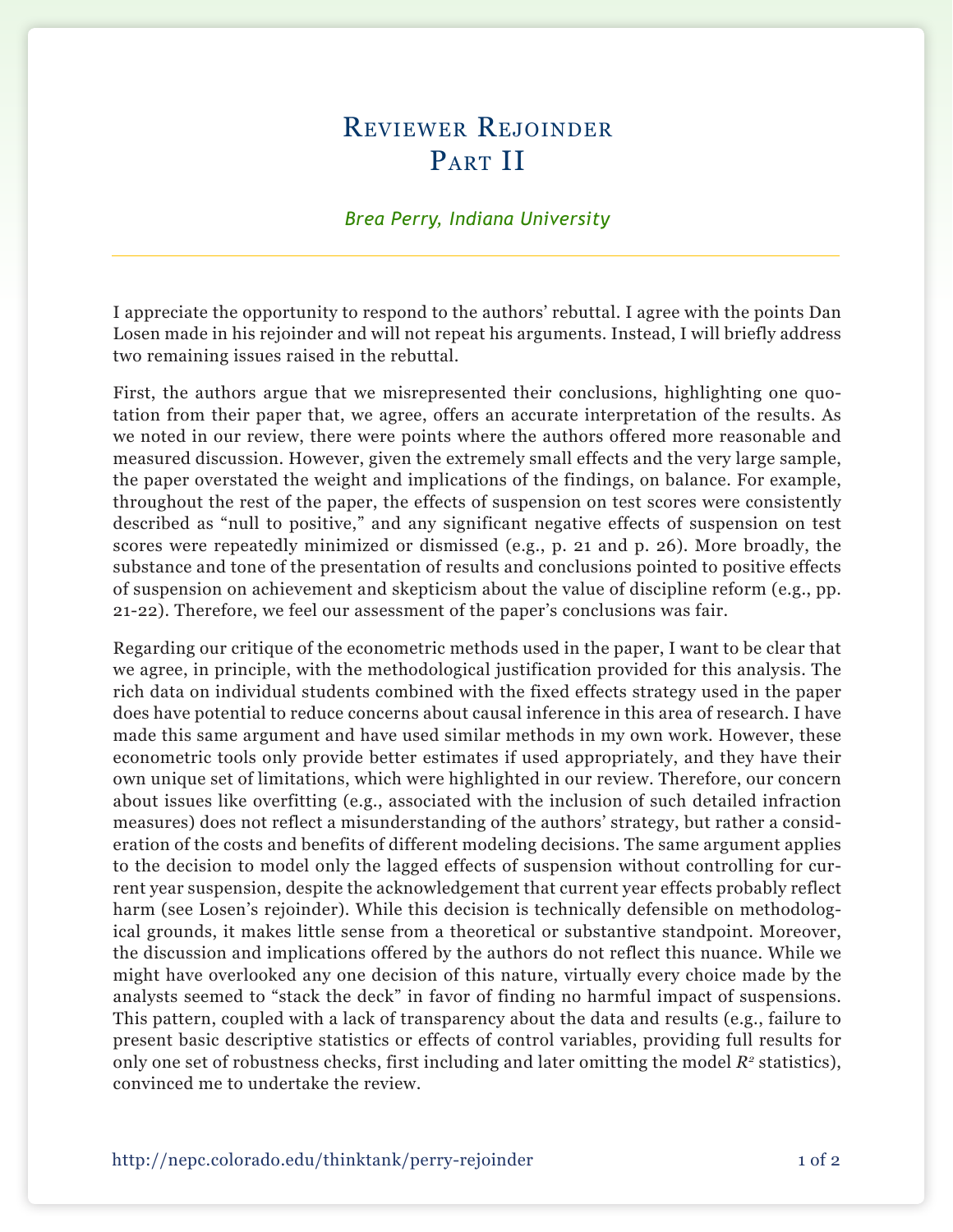## Reviewer Rejoinder PART II

## *Brea Perry, Indiana University*

I appreciate the opportunity to respond to the authors' rebuttal. I agree with the points Dan Losen made in his rejoinder and will not repeat his arguments. Instead, I will briefly address two remaining issues raised in the rebuttal.

First, the authors argue that we misrepresented their conclusions, highlighting one quotation from their paper that, we agree, offers an accurate interpretation of the results. As we noted in our review, there were points where the authors offered more reasonable and measured discussion. However, given the extremely small effects and the very large sample, the paper overstated the weight and implications of the findings, on balance. For example, throughout the rest of the paper, the effects of suspension on test scores were consistently described as "null to positive," and any significant negative effects of suspension on test scores were repeatedly minimized or dismissed (e.g., p. 21 and p. 26). More broadly, the substance and tone of the presentation of results and conclusions pointed to positive effects of suspension on achievement and skepticism about the value of discipline reform (e.g., pp. 21-22). Therefore, we feel our assessment of the paper's conclusions was fair.

Regarding our critique of the econometric methods used in the paper, I want to be clear that we agree, in principle, with the methodological justification provided for this analysis. The rich data on individual students combined with the fixed effects strategy used in the paper does have potential to reduce concerns about causal inference in this area of research. I have made this same argument and have used similar methods in my own work. However, these econometric tools only provide better estimates if used appropriately, and they have their own unique set of limitations, which were highlighted in our review. Therefore, our concern about issues like overfitting (e.g., associated with the inclusion of such detailed infraction measures) does not reflect a misunderstanding of the authors' strategy, but rather a consideration of the costs and benefits of different modeling decisions. The same argument applies to the decision to model only the lagged effects of suspension without controlling for current year suspension, despite the acknowledgement that current year effects probably reflect harm (see Losen's rejoinder). While this decision is technically defensible on methodological grounds, it makes little sense from a theoretical or substantive standpoint. Moreover, the discussion and implications offered by the authors do not reflect this nuance. While we might have overlooked any one decision of this nature, virtually every choice made by the analysts seemed to "stack the deck" in favor of finding no harmful impact of suspensions. This pattern, coupled with a lack of transparency about the data and results (e.g., failure to present basic descriptive statistics or effects of control variables, providing full results for only one set of robustness checks, first including and later omitting the model  $R<sup>2</sup>$  statistics), convinced me to undertake the review.